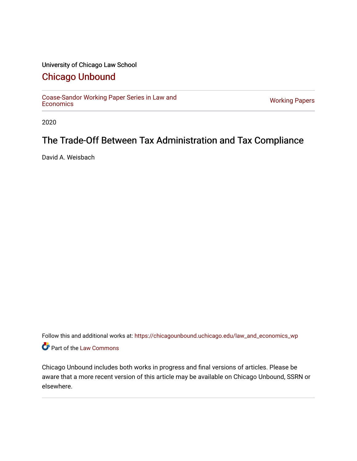#### University of Chicago Law School

### [Chicago Unbound](https://chicagounbound.uchicago.edu/)

[Coase-Sandor Working Paper Series in Law and](https://chicagounbound.uchicago.edu/law_and_economics_wp) [Economics](https://chicagounbound.uchicago.edu/law_and_economics_wp) [Working Papers](https://chicagounbound.uchicago.edu/working_papers) 

2020

## The Trade-Off Between Tax Administration and Tax Compliance

David A. Weisbach

Follow this and additional works at: [https://chicagounbound.uchicago.edu/law\\_and\\_economics\\_wp](https://chicagounbound.uchicago.edu/law_and_economics_wp?utm_source=chicagounbound.uchicago.edu%2Flaw_and_economics_wp%2F32&utm_medium=PDF&utm_campaign=PDFCoverPages)  Part of the [Law Commons](http://network.bepress.com/hgg/discipline/578?utm_source=chicagounbound.uchicago.edu%2Flaw_and_economics_wp%2F32&utm_medium=PDF&utm_campaign=PDFCoverPages)

Chicago Unbound includes both works in progress and final versions of articles. Please be aware that a more recent version of this article may be available on Chicago Unbound, SSRN or elsewhere.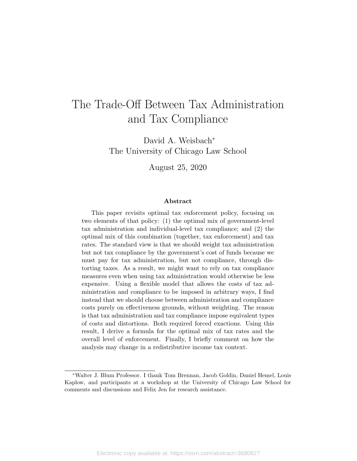# The Trade-Off Between Tax Administration and Tax Compliance

David A. Weisbach<sup>∗</sup> The University of Chicago Law School

August 25, 2020

#### Abstract

This paper revisits optimal tax enforcement policy, focusing on two elements of that policy: (1) the optimal mix of government-level tax administration and individual-level tax compliance; and (2) the optimal mix of this combination (together, tax enforcement) and tax rates. The standard view is that we should weight tax administration but not tax compliance by the government's cost of funds because we must pay for tax administration, but not compliance, through distorting taxes. As a result, we might want to rely on tax compliance measures even when using tax administration would otherwise be less expensive. Using a flexible model that allows the costs of tax administration and compliance to be imposed in arbitrary ways, I find instead that we should choose between administration and compliance costs purely on effectiveness grounds, without weighting. The reason is that tax administration and tax compliance impose equivalent types of costs and distortions. Both required forced exactions. Using this result, I derive a formula for the optimal mix of tax rates and the overall level of enforcement. Finally, I briefly comment on how the analysis may change in a redistributive income tax context.

<sup>∗</sup>Walter J. Blum Professor. I thank Tom Brennan, Jacob Goldin, Daniel Hemel, Louis Kaplow, and participants at a workshop at the University of Chicago Law School for comments and discussions and Felix Jen for research assistance.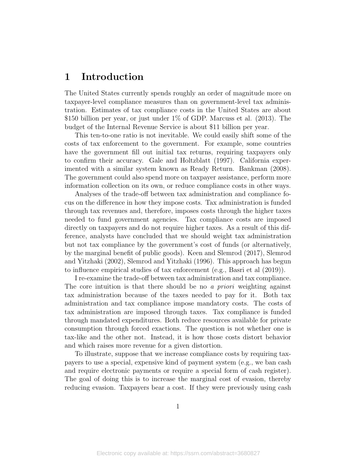### 1 Introduction

The United States currently spends roughly an order of magnitude more on taxpayer-level compliance measures than on government-level tax administration. Estimates of tax compliance costs in the United States are about \$150 billion per year, or just under 1% of GDP. Marcuss et al. (2013). The budget of the Internal Revenue Service is about \$11 billion per year.

This ten-to-one ratio is not inevitable. We could easily shift some of the costs of tax enforcement to the government. For example, some countries have the government fill out initial tax returns, requiring taxpayers only to confirm their accuracy. Gale and Holtzblatt (1997). California experimented with a similar system known as Ready Return. Bankman (2008). The government could also spend more on taxpayer assistance, perform more information collection on its own, or reduce compliance costs in other ways.

Analyses of the trade-off between tax administration and compliance focus on the difference in how they impose costs. Tax administration is funded through tax revenues and, therefore, imposes costs through the higher taxes needed to fund government agencies. Tax compliance costs are imposed directly on taxpayers and do not require higher taxes. As a result of this difference, analysts have concluded that we should weight tax administration but not tax compliance by the government's cost of funds (or alternatively, by the marginal benefit of public goods). Keen and Slemrod (2017), Slemrod and Yitzhaki (2002), Slemrod and Yitzhaki (1996). This approach has begun to influence empirical studies of tax enforcement (e.g., Basri et al (2019)).

I re-examine the trade-off between tax administration and tax compliance. The core intuition is that there should be no a *priori* weighting against tax administration because of the taxes needed to pay for it. Both tax administration and tax compliance impose mandatory costs. The costs of tax administration are imposed through taxes. Tax compliance is funded through mandated expenditures. Both reduce resources available for private consumption through forced exactions. The question is not whether one is tax-like and the other not. Instead, it is how those costs distort behavior and which raises more revenue for a given distortion.

To illustrate, suppose that we increase compliance costs by requiring taxpayers to use a special, expensive kind of payment system (e.g., we ban cash and require electronic payments or require a special form of cash register). The goal of doing this is to increase the marginal cost of evasion, thereby reducing evasion. Taxpayers bear a cost. If they were previously using cash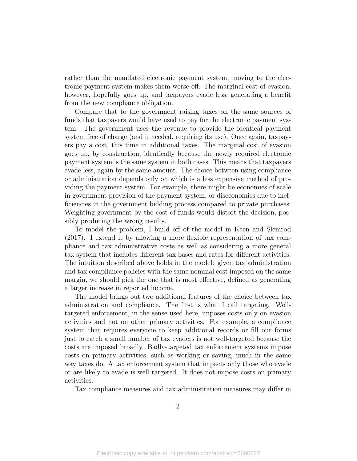rather than the mandated electronic payment system, moving to the electronic payment system makes them worse off. The marginal cost of evasion, however, hopefully goes up, and taxpayers evade less, generating a benefit from the new compliance obligation.

Compare that to the government raising taxes on the same sources of funds that taxpayers would have used to pay for the electronic payment system. The government uses the revenue to provide the identical payment system free of charge (and if needed, requiring its use). Once again, taxpayers pay a cost, this time in additional taxes. The marginal cost of evasion goes up, by construction, identically because the newly required electronic payment system is the same system in both cases. This means that taxpayers evade less, again by the same amount. The choice between using compliance or administration depends only on which is a less expensive method of providing the payment system. For example, there might be economies of scale in government provision of the payment system, or diseconomies due to inefficiencies in the government bidding process compared to private purchases. Weighting government by the cost of funds would distort the decision, possibly producing the wrong results.

To model the problem, I build off of the model in Keen and Slemrod (2017). I extend it by allowing a more flexible representation of tax compliance and tax administrative costs as well as considering a more general tax system that includes different tax bases and rates for different activities. The intuition described above holds in the model: given tax administration and tax compliance policies with the same nominal cost imposed on the same margin, we should pick the one that is most effective, defined as generating a larger increase in reported income.

The model brings out two additional features of the choice between tax administration and compliance. The first is what I call targeting. Welltargeted enforcement, in the sense used here, imposes costs only on evasion activities and not on other primary activities. For example, a compliance system that requires everyone to keep additional records or fill out forms just to catch a small number of tax evaders is not well-targeted because the costs are imposed broadly. Badly-targeted tax enforcement systems impose costs on primary activities, such as working or saving, much in the same way taxes do. A tax enforcement system that impacts only those who evade or are likely to evade is well targeted. It does not impose costs on primary activities.

Tax compliance measures and tax administration measures may differ in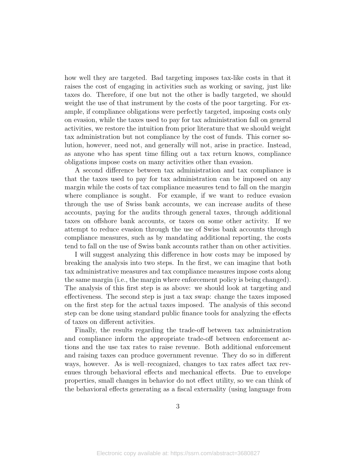how well they are targeted. Bad targeting imposes tax-like costs in that it raises the cost of engaging in activities such as working or saving, just like taxes do. Therefore, if one but not the other is badly targeted, we should weight the use of that instrument by the costs of the poor targeting. For example, if compliance obligations were perfectly targeted, imposing costs only on evasion, while the taxes used to pay for tax administration fall on general activities, we restore the intuition from prior literature that we should weight tax administration but not compliance by the cost of funds. This corner solution, however, need not, and generally will not, arise in practice. Instead, as anyone who has spent time filling out a tax return knows, compliance obligations impose costs on many activities other than evasion.

A second difference between tax administration and tax compliance is that the taxes used to pay for tax administration can be imposed on any margin while the costs of tax compliance measures tend to fall on the margin where compliance is sought. For example, if we want to reduce evasion through the use of Swiss bank accounts, we can increase audits of these accounts, paying for the audits through general taxes, through additional taxes on offshore bank accounts, or taxes on some other activity. If we attempt to reduce evasion through the use of Swiss bank accounts through compliance measures, such as by mandating additional reporting, the costs tend to fall on the use of Swiss bank accounts rather than on other activities.

I will suggest analyzing this difference in how costs may be imposed by breaking the analysis into two steps. In the first, we can imagine that both tax administrative measures and tax compliance measures impose costs along the same margin (i.e., the margin where enforcement policy is being changed). The analysis of this first step is as above: we should look at targeting and effectiveness. The second step is just a tax swap: change the taxes imposed on the first step for the actual taxes imposed. The analysis of this second step can be done using standard public finance tools for analyzing the effects of taxes on different activities.

Finally, the results regarding the trade-off between tax administration and compliance inform the appropriate trade-off between enforcement actions and the use tax rates to raise revenue. Both additional enforcement and raising taxes can produce government revenue. They do so in different ways, however. As is well–recognized, changes to tax rates affect tax revenues through behavioral effects and mechanical effects. Due to envelope properties, small changes in behavior do not effect utility, so we can think of the behavioral effects generating as a fiscal externality (using language from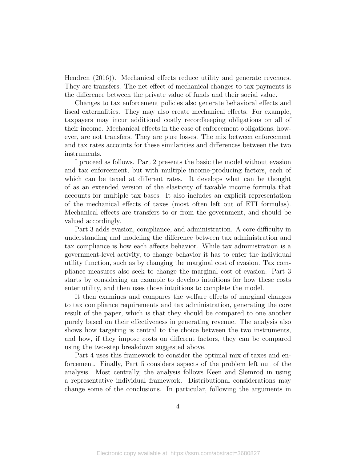Hendren (2016)). Mechanical effects reduce utility and generate revenues. They are transfers. The net effect of mechanical changes to tax payments is the difference between the private value of funds and their social value.

Changes to tax enforcement policies also generate behavioral effects and fiscal externalities. They may also create mechanical effects. For example, taxpayers may incur additional costly recordkeeping obligations on all of their income. Mechanical effects in the case of enforcement obligations, however, are not transfers. They are pure losses. The mix between enforcement and tax rates accounts for these similarities and differences between the two instruments.

I proceed as follows. Part 2 presents the basic the model without evasion and tax enforcement, but with multiple income-producing factors, each of which can be taxed at different rates. It develops what can be thought of as an extended version of the elasticity of taxable income formula that accounts for multiple tax bases. It also includes an explicit representation of the mechanical effects of taxes (most often left out of ETI formulas). Mechanical effects are transfers to or from the government, and should be valued accordingly.

Part 3 adds evasion, compliance, and administration. A core difficulty in understanding and modeling the difference between tax administration and tax compliance is how each affects behavior. While tax administration is a government-level activity, to change behavior it has to enter the individual utility function, such as by changing the marginal cost of evasion. Tax compliance measures also seek to change the marginal cost of evasion. Part 3 starts by considering an example to develop intuitions for how these costs enter utility, and then uses those intuitions to complete the model.

It then examines and compares the welfare effects of marginal changes to tax compliance requirements and tax administration, generating the core result of the paper, which is that they should be compared to one another purely based on their effectiveness in generating revenue. The analysis also shows how targeting is central to the choice between the two instruments, and how, if they impose costs on different factors, they can be compared using the two-step breakdown suggested above.

Part 4 uses this framework to consider the optimal mix of taxes and enforcement. Finally, Part 5 considers aspects of the problem left out of the analysis. Most centrally, the analysis follows Keen and Slemrod in using a representative individual framework. Distributional considerations may change some of the conclusions. In particular, following the arguments in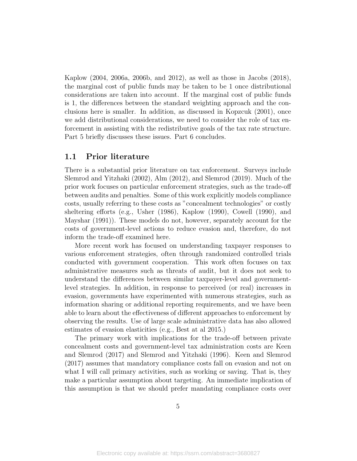Kaplow (2004, 2006a, 2006b, and 2012), as well as those in Jacobs (2018), the marginal cost of public funds may be taken to be 1 once distributional considerations are taken into account. If the marginal cost of public funds is 1, the differences between the standard weighting approach and the conclusions here is smaller. In addition, as discussed in Kopzcuk (2001), once we add distributional considerations, we need to consider the role of tax enforcement in assisting with the redistributive goals of the tax rate structure. Part 5 briefly discusses these issues. Part 6 concludes.

#### 1.1 Prior literature

There is a substantial prior literature on tax enforcement. Surveys include Slemrod and Yitzhaki (2002), Alm (2012), and Slemrod (2019). Much of the prior work focuses on particular enforcement strategies, such as the trade-off between audits and penalties. Some of this work explicitly models compliance costs, usually referring to these costs as "concealment technologies" or costly sheltering efforts (e.g., Usher (1986), Kaplow (1990), Cowell (1990), and Mayshar (1991)). These models do not, however, separately account for the costs of government-level actions to reduce evasion and, therefore, do not inform the trade-off examined here.

More recent work has focused on understanding taxpayer responses to various enforcement strategies, often through randomized controlled trials conducted with government cooperation. This work often focuses on tax administrative measures such as threats of audit, but it does not seek to understand the differences between similar taxpayer-level and governmentlevel strategies. In addition, in response to perceived (or real) increases in evasion, governments have experimented with numerous strategies, such as information sharing or additional reporting requirements, and we have been able to learn about the effectiveness of different approaches to enforcement by observing the results. Use of large scale administrative data has also allowed estimates of evasion elasticities (e.g., Best at al 2015.)

The primary work with implications for the trade-off between private concealment costs and government-level tax administration costs are Keen and Slemrod (2017) and Slemrod and Yitzhaki (1996). Keen and Slemrod (2017) assumes that mandatory compliance costs fall on evasion and not on what I will call primary activities, such as working or saving. That is, they make a particular assumption about targeting. An immediate implication of this assumption is that we should prefer mandating compliance costs over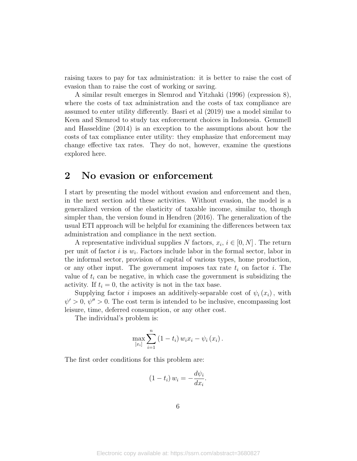raising taxes to pay for tax administration: it is better to raise the cost of evasion than to raise the cost of working or saving.

A similar result emerges in Slemrod and Yitzhaki (1996) (expression 8), where the costs of tax administration and the costs of tax compliance are assumed to enter utility differently. Basri et al (2019) use a model similar to Keen and Slemrod to study tax enforcement choices in Indonesia. Gemmell and Hasseldine (2014) is an exception to the assumptions about how the costs of tax compliance enter utility: they emphasize that enforcement may change effective tax rates. They do not, however, examine the questions explored here.

### 2 No evasion or enforcement

I start by presenting the model without evasion and enforcement and then, in the next section add these activities. Without evasion, the model is a generalized version of the elasticity of taxable income, similar to, though simpler than, the version found in Hendren (2016). The generalization of the usual ETI approach will be helpful for examining the differences between tax administration and compliance in the next section.

A representative individual supplies N factors,  $x_i, i \in [0, N]$ . The return per unit of factor  $i$  is  $w_i$ . Factors include labor in the formal sector, labor in the informal sector, provision of capital of various types, home production, or any other input. The government imposes tax rate  $t_i$  on factor i. The value of  $t_i$  can be negative, in which case the government is subsidizing the activity. If  $t_i = 0$ , the activity is not in the tax base.

Supplying factor *i* imposes an additively-separable cost of  $\psi_i(x_i)$ , with  $\psi' > 0$ ,  $\psi'' > 0$ . The cost term is intended to be inclusive, encompassing lost leisure, time, deferred consumption, or any other cost.

The individual's problem is:

$$
\max_{[x_i]} \sum_{i=1}^n (1-t_i) w_i x_i - \psi_i(x_i).
$$

The first order conditions for this problem are:

$$
(1-t_i) w_i = -\frac{d\psi_i}{dx_i}.
$$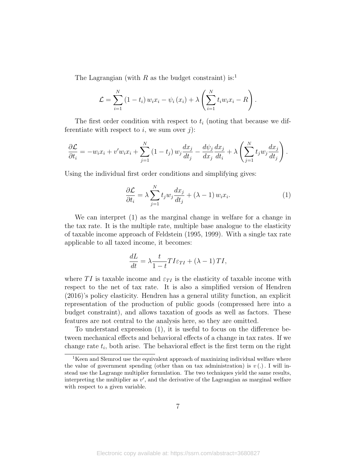The Lagrangian (with R as the budget constraint) is:1

$$
\mathcal{L} = \sum_{i=1}^{N} (1-t_i) w_i x_i - \psi_i (x_i) + \lambda \left( \sum_{i=1}^{N} t_i w_i x_i - R \right).
$$

The first order condition with respect to  $t_i$  (noting that because we differentiate with respect to i, we sum over j):

$$
\frac{\partial \mathcal{L}}{\partial t_i} = -w_i x_i + v' w_i x_i + \sum_{j=1}^N (1-t_j) w_j \frac{dx_j}{dt_j} - \frac{d\psi_j}{dx_j} \frac{dx_j}{dt_i} + \lambda \left( \sum_{j=1}^N t_j w_j \frac{dx_j}{dt_j} \right).
$$

Using the individual first order conditions and simplifying gives:

$$
\frac{\partial \mathcal{L}}{\partial t_i} = \lambda \sum_{j=1}^{N} t_j w_j \frac{dx_j}{dt_j} + (\lambda - 1) w_i x_i.
$$
 (1)

We can interpret (1) as the marginal change in welfare for a change in the tax rate. It is the multiple rate, multiple base analogue to the elasticity of taxable income approach of Feldstein (1995, 1999). With a single tax rate applicable to all taxed income, it becomes:

$$
\frac{dL}{dt} = \lambda \frac{t}{1-t} T I \varepsilon_{TI} + (\lambda - 1) T I,
$$

where TI is taxable income and  $\varepsilon_{TI}$  is the elasticity of taxable income with respect to the net of tax rate. It is also a simplified version of Hendren (2016)'s policy elasticity. Hendren has a general utility function, an explicit representation of the production of public goods (compressed here into a budget constraint), and allows taxation of goods as well as factors. These features are not central to the analysis here, so they are omitted.

To understand expression (1), it is useful to focus on the difference between mechanical effects and behavioral effects of a change in tax rates. If we change rate  $t_i$ , both arise. The behavioral effect is the first term on the right

<sup>&</sup>lt;sup>1</sup>Keen and Slemrod use the equivalent approach of maxinizing individual welfare where the value of government spending (other than on tax administration) is  $v(.)$ . I will instead use the Lagrange multiplier formulation. The two techniques yield the same results, interpreting the multiplier as  $v'$ , and the derivative of the Lagrangian as marginal welfare with respect to a given variable.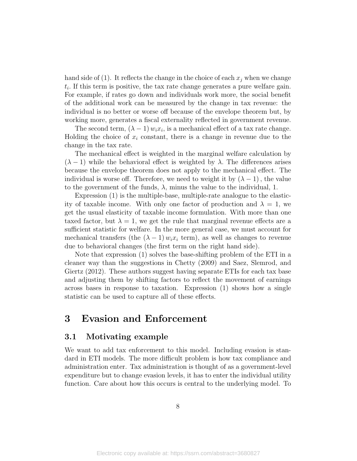hand side of (1). It reflects the change in the choice of each  $x_j$  when we change  $t_i$ . If this term is positive, the tax rate change generates a pure welfare gain. For example, if rates go down and individuals work more, the social benefit of the additional work can be measured by the change in tax revenue: the individual is no better or worse off because of the envelope theorem but, by working more, generates a fiscal externality reflected in government revenue.

The second term,  $(\lambda - 1) w_i x_i$ , is a mechanical effect of a tax rate change. Holding the choice of  $x_i$  constant, there is a change in revenue due to the change in the tax rate.

The mechanical effect is weighted in the marginal welfare calculation by  $(\lambda - 1)$  while the behavioral effect is weighted by  $\lambda$ . The differences arises because the envelope theorem does not apply to the mechanical effect. The individual is worse off. Therefore, we need to weight it by  $(\lambda - 1)$ , the value to the government of the funds,  $\lambda$ , minus the value to the individual, 1.

Expression (1) is the multiple-base, multiple-rate analogue to the elasticity of taxable income. With only one factor of production and  $\lambda = 1$ , we get the usual elasticity of taxable income formulation. With more than one taxed factor, but  $\lambda = 1$ , we get the rule that marginal revenue effects are a sufficient statistic for welfare. In the more general case, we must account for mechanical transfers (the  $(\lambda - 1) w_i x_i$  term), as well as changes to revenue due to behavioral changes (the first term on the right hand side).

Note that expression (1) solves the base-shifting problem of the ETI in a cleaner way than the suggestions in Chetty (2009) and Saez, Slemrod, and Giertz (2012). These authors suggest having separate ETIs for each tax base and adjusting them by shifting factors to reflect the movement of earnings across bases in response to taxation. Expression (1) shows how a single statistic can be used to capture all of these effects.

### 3 Evasion and Enforcement

#### 3.1 Motivating example

We want to add tax enforcement to this model. Including evasion is standard in ETI models. The more difficult problem is how tax compliance and administration enter. Tax administration is thought of as a government-level expenditure but to change evasion levels, it has to enter the individual utility function. Care about how this occurs is central to the underlying model. To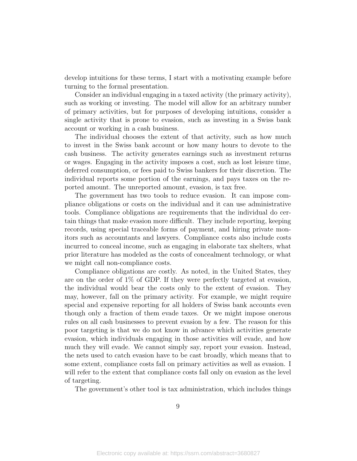develop intuitions for these terms, I start with a motivating example before turning to the formal presentation.

Consider an individual engaging in a taxed activity (the primary activity), such as working or investing. The model will allow for an arbitrary number of primary activities, but for purposes of developing intuitions, consider a single activity that is prone to evasion, such as investing in a Swiss bank account or working in a cash business.

The individual chooses the extent of that activity, such as how much to invest in the Swiss bank account or how many hours to devote to the cash business. The activity generates earnings such as investment returns or wages. Engaging in the activity imposes a cost, such as lost leisure time, deferred consumption, or fees paid to Swiss bankers for their discretion. The individual reports some portion of the earnings, and pays taxes on the reported amount. The unreported amount, evasion, is tax free.

The government has two tools to reduce evasion. It can impose compliance obligations or costs on the individual and it can use administrative tools. Compliance obligations are requirements that the individual do certain things that make evasion more difficult. They include reporting, keeping records, using special traceable forms of payment, and hiring private monitors such as accountants and lawyers. Compliance costs also include costs incurred to conceal income, such as engaging in elaborate tax shelters, what prior literature has modeled as the costs of concealment technology, or what we might call non-compliance costs.

Compliance obligations are costly. As noted, in the United States, they are on the order of 1% of GDP. If they were perfectly targeted at evasion, the individual would bear the costs only to the extent of evasion. They may, however, fall on the primary activity. For example, we might require special and expensive reporting for all holders of Swiss bank accounts even though only a fraction of them evade taxes. Or we might impose onerous rules on all cash businesses to prevent evasion by a few. The reason for this poor targeting is that we do not know in advance which activities generate evasion, which individuals engaging in those activities will evade, and how much they will evade. We cannot simply say, report your evasion. Instead, the nets used to catch evasion have to be cast broadly, which means that to some extent, compliance costs fall on primary activities as well as evasion. I will refer to the extent that compliance costs fall only on evasion as the level of targeting.

The government's other tool is tax administration, which includes things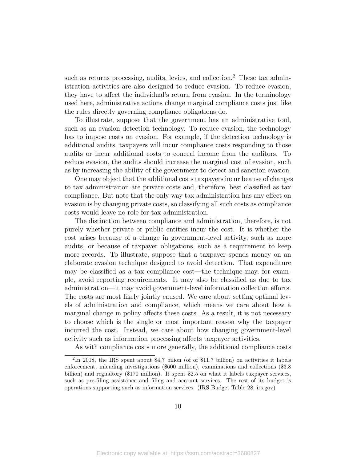such as returns processing, audits, levies, and collection.<sup>2</sup> These tax administration activities are also designed to reduce evasion. To reduce evasion, they have to affect the individual's return from evasion. In the terminology used here, administrative actions change marginal compliance costs just like the rules directly governing compliance obligations do.

To illustrate, suppose that the government has an administrative tool, such as an evasion detection technology. To reduce evasion, the technology has to impose costs on evasion. For example, if the detection technology is additional audits, taxpayers will incur compliance costs responding to those audits or incur additional costs to conceal income from the auditors. To reduce evasion, the audits should increase the marginal cost of evasion, such as by increasing the ability of the government to detect and sanction evasion.

One may object that the additional costs taxpayers incur beause of changes to tax administraiton are private costs and, therefore, best classified as tax compliance. But note that the only way tax administration has any effect on evasion is by changing private costs, so classifying all such costs as compliance costs would leave no role for tax administration.

The distinction between compliance and administration, therefore, is not purely whether private or public entities incur the cost. It is whether the cost arises because of a change in government-level activity, such as more audits, or because of taxpayer obligations, such as a requirement to keep more records. To illustrate, suppose that a taxpayer spends money on an elaborate evasion technique designed to avoid detection. That expenditure may be classified as a tax compliance cost—the technique may, for example, avoid reporting requirements. It may also be classified as due to tax administration—it may avoid government-level information collection efforts. The costs are most likely jointly caused. We care about setting optimal levels of administration and compliance, which means we care about how a marginal change in policy affects these costs. As a result, it is not necessary to choose which is the single or most important reason why the taxpayer incurred the cost. Instead, we care about how changing government-level activity such as information processing affects taxpayer activities.

As with compliance costs more generally, the additional compliance costs

<sup>2</sup> In 2018, the IRS spent about \$4.7 bilion (of of \$11.7 billion) on activities it labels enforcement, inlcuding investigations (\$600 million), examinations and collections (\$3.8 billion) and regualtory (\$170 million). It spent \$2.5 on what it labels taxpayer services, such as pre-filing assistance and filing and account services. The rest of its budget is operations supporting such as information services. (IRS Budget Table 28, irs.gov)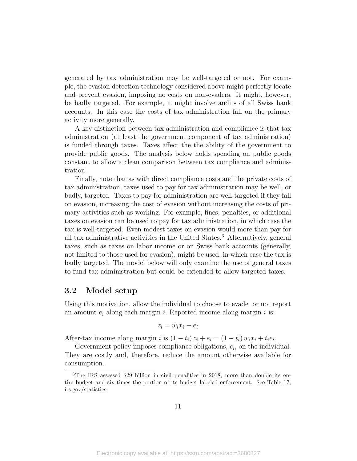generated by tax administration may be well-targeted or not. For example, the evasion detection technology considered above might perfectly locate and prevent evasion, imposing no costs on non-evaders. It might, however, be badly targeted. For example, it might involve audits of all Swiss bank accounts. In this case the costs of tax administration fall on the primary activity more generally.

A key distinction between tax administration and compliance is that tax administration (at least the government component of tax administration) is funded through taxes. Taxes affect the the ability of the government to provide public goods. The analysis below holds spending on public goods constant to allow a clean comparison between tax compliance and administration.

Finally, note that as with direct compliance costs and the private costs of tax administration, taxes used to pay for tax administration may be well, or badly, targeted. Taxes to pay for administration are well-targeted if they fall on evasion, increasing the cost of evasion without increasing the costs of primary activities such as working. For example, fines, penalties, or additional taxes on evasion can be used to pay for tax administration, in which case the tax is well-targeted. Even modest taxes on evasion would more than pay for all tax administrative activities in the United States.<sup>3</sup> Alternatively, general taxes, such as taxes on labor income or on Swiss bank accounts (generally, not limited to those used for evasion), might be used, in which case the tax is badly targeted. The model below will only examine the use of general taxes to fund tax administration but could be extended to allow targeted taxes.

#### 3.2 Model setup

Using this motivation, allow the individual to choose to evade or not report an amount  $e_i$  along each margin i. Reported income along margin i is:

$$
z_i = w_i x_i - e_i
$$

After-tax income along margin i is  $(1-t_i) z_i + e_i = (1-t_i) w_i x_i + t_i e_i$ .

Government policy imposes compliance obligations,  $c_i$ , on the individual. They are costly and, therefore, reduce the amount otherwise available for consumption.

<sup>&</sup>lt;sup>3</sup>The IRS assessed \$29 billion in civil penalities in 2018, more than double its entire budget and six times the portion of its budget labeled enforcement. See Table 17, irs.gov/statistics.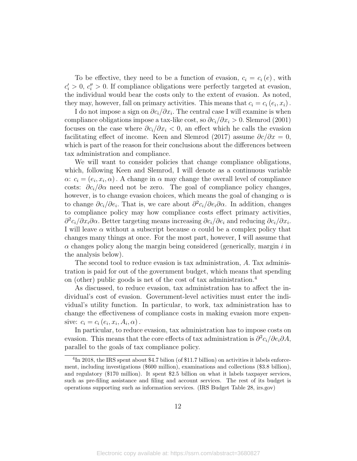To be effective, they need to be a function of evasion,  $c_i = c_i(e)$ , with  $c_i' > 0, c_i'' > 0$ . If compliance obligations were perfectly targeted at evasion, the individual would bear the costs only to the extent of evasion. As noted, they may, however, fall on primary activities. This means that  $c_i = c_i (e_i, x_i)$ .

I do not impose a sign on  $\partial c_i/\partial x_i$ . The central case I will examine is when compliance obligations impose a tax-like cost, so  $\partial c_i/\partial x_i > 0$ . Slemrod (2001) focuses on the case where  $\partial c_i/\partial x_i < 0$ , an effect which he calls the evasion facilitating effect of income. Keen and Slemrod (2017) assume  $\partial c/\partial x = 0$ , which is part of the reason for their conclusions about the differences between tax administration and compliance.

We will want to consider policies that change compliance obligations, which, following Keen and Slemrod, I will denote as a continuous variable  $\alpha: c_i = (e_i, x_i, \alpha)$ . A change in  $\alpha$  may change the overall level of compliance costs:  $\partial c_i/\partial \alpha$  need not be zero. The goal of compliance policy changes, however, is to change evasion choices, which means the goal of changing  $\alpha$  is to change  $\partial c_i/\partial e_i$ . That is, we care about  $\partial^2 c_i/\partial e_i \partial \alpha$ . In addition, changes to compliance policy may how compliance costs effect primary activities,  $\partial^2 c_i/\partial x_i \partial \alpha$ . Better targeting means increasing  $\partial c_i/\partial e_i$  and reducing  $\partial c_i/\partial x_i$ . I will leave  $\alpha$  without a subscript because  $\alpha$  could be a complex policy that changes many things at once. For the most part, however, I will assume that  $\alpha$  changes policy along the margin being considered (generically, margin i in the analysis below).

The second tool to reduce evasion is tax administration, A. Tax administration is paid for out of the government budget, which means that spending on (other) public goods is net of the cost of tax administration.<sup>4</sup>

As discussed, to reduce evasion, tax administration has to affect the individual's cost of evasion. Government-level activities must enter the individual's utility function. In particular, to work, tax administration has to change the effectiveness of compliance costs in making evasion more expensive:  $c_i = c_i (e_i, x_i, A_i, \alpha)$ .

In particular, to reduce evasion, tax administration has to impose costs on evasion. This means that the core effects of tax administration is  $\partial^2 c_i/\partial e_i \partial A$ , parallel to the goals of tax compliance policy.

<sup>&</sup>lt;sup>4</sup>In 2018, the IRS spent about \$4.7 bilion (of \$11.7 billion) on activities it labels enforcement, including investigations (\$600 million), examinations and collections (\$3.8 billion), and regulatory (\$170 million). It spent \$2.5 billion on what it labels taxpayer services, such as pre-filing assistance and filing and account services. The rest of its budget is operations supporting such as information services. (IRS Budget Table 28, irs.gov)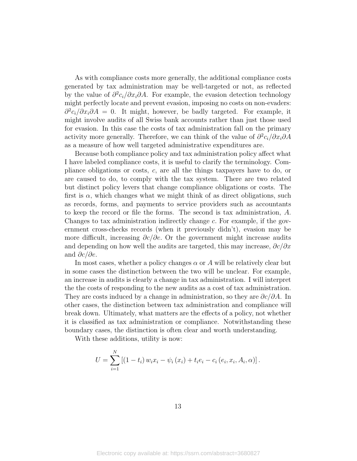As with compliance costs more generally, the additional compliance costs generated by tax administration may be well-targeted or not, as reflected by the value of  $\partial^2 c_i/\partial x_i \partial A$ . For example, the evasion detection technology might perfectly locate and prevent evasion, imposing no costs on non-evaders:  $\partial^2 c_i/\partial x_i \partial A = 0$ . It might, however, be badly targeted. For example, it might involve audits of all Swiss bank accounts rather than just those used for evasion. In this case the costs of tax administration fall on the primary activity more generally. Therefore, we can think of the value of  $\partial^2 c_i/\partial x_i \partial A$ as a measure of how well targeted administrative expenditures are.

Because both compliance policy and tax administration policy affect what I have labeled compliance costs, it is useful to clarify the terminology. Compliance obligations or costs, c, are all the things taxpayers have to do, or are caused to do, to comply with the tax system. There are two related but distinct policy levers that change compliance obligations or costs. The first is  $\alpha$ , which changes what we might think of as direct obligations, such as records, forms, and payments to service providers such as accountants to keep the record or file the forms. The second is tax administration, A. Changes to tax administration indirectly change c. For example, if the government cross-checks records (when it previously didn't), evasion may be more difficult, increasing  $\partial c/\partial e$ . Or the government might increase audits and depending on how well the audits are targeted, this may increase,  $\partial c/\partial x$ and  $\partial c/\partial e$ .

In most cases, whether a policy changes  $\alpha$  or A will be relatively clear but in some cases the distinction between the two will be unclear. For example, an increase in audits is clearly a change in tax administration. I will interpret the the costs of responding to the new audits as a cost of tax administration. They are costs induced by a change in administration, so they are  $\partial c/\partial A$ . In other cases, the distinction between tax administration and compliance will break down. Ultimately, what matters are the effects of a policy, not whether it is classified as tax administration or compliance. Notwithstanding these boundary cases, the distinction is often clear and worth understanding.

With these additions, utility is now:

$$
U = \sum_{i=1}^{N} [(1-t_i) w_i x_i - \psi_i (x_i) + t_i e_i - c_i (e_i, x_i, A_i, \alpha)].
$$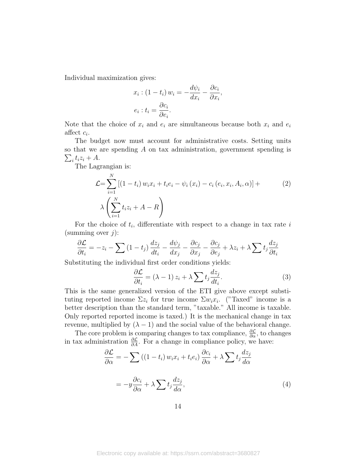Individual maximization gives:

$$
x_i: (1 - t_i) w_i = -\frac{d\psi_i}{dx_i} - \frac{\partial c_i}{\partial x_i},
$$

$$
e_i: t_i = \frac{\partial c_i}{\partial e_i}.
$$

Note that the choice of  $x_i$  and  $e_i$  are simultaneous because both  $x_i$  and  $e_i$ affect  $c_i$ .

The budget now must account for administrative costs. Setting units so that we are spending A on tax administration, government spending is  $\sum_i t_i z_i + A.$ 

The Lagrangian is:

$$
\mathcal{L} = \sum_{i=1}^{N} \left[ (1 - t_i) w_i x_i + t_i e_i - \psi_i (x_i) - c_i (e_i, x_i, A_i, \alpha) \right] + \lambda \left( \sum_{i=1}^{N} t_i z_i + A - R \right)
$$
 (2)

For the choice of  $t_i$ , differentiate with respect to a change in tax rate i (summing over  $j$ ):

$$
\frac{\partial \mathcal{L}}{\partial t_i} = -z_i - \sum (1 - t_j) \frac{dz_j}{dt_i} - \frac{d\psi_j}{dx_j} - \frac{\partial c_j}{\partial x_j} - \frac{\partial c_j}{\partial e_j} + \lambda z_i + \lambda \sum t_j \frac{dz_j}{\partial t_i}
$$

Substituting the individual first order conditions yields:

$$
\frac{\partial \mathcal{L}}{\partial t_i} = (\lambda - 1) z_i + \lambda \sum t_j \frac{dz_j}{dt_i}.
$$
 (3)

This is the same generalized version of the ETI give above except substituting reported income  $\Sigma z_i$  for true income  $\Sigma w_i x_i$ . ("Taxed" income is a better description than the standard term, "taxable." All income is taxable. Only reported reported income is taxed.) It is the mechanical change in tax revenue, multiplied by  $(\lambda - 1)$  and the social value of the behavioral change.

The core problem is comparing changes to tax compliance,  $\frac{\partial \mathcal{L}}{\partial \alpha}$ , to changes in tax administration  $\frac{\partial \mathcal{L}}{\partial A}$ . For a change in compliance policy, we have:

$$
\frac{\partial \mathcal{L}}{\partial \alpha} = -\sum \left( (1 - t_i) w_i x_i + t_i e_i \right) \frac{\partial c_i}{\partial \alpha} + \lambda \sum t_j \frac{dz_j}{d\alpha}
$$

$$
= -y \frac{\partial c_i}{\partial \alpha} + \lambda \sum t_j \frac{dz_j}{d\alpha}, \tag{4}
$$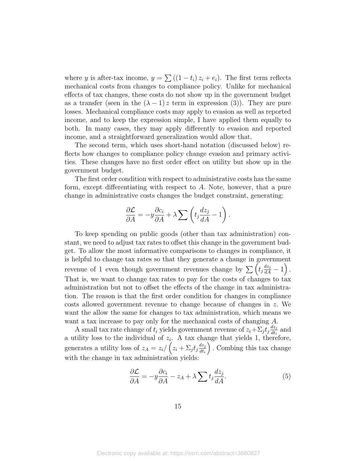where y is after-tax income,  $y = \sum ((1 - t_i) z_i + e_i)$ . The first term reflects mechanical costs from changes to compliance policy. Unlike for mechanical effects of tax changes, these costs do not show up in the government budget as a transfer (seen in the  $(\lambda - 1)z$  term in expression (3)). They are pure losses. Mechanical compliance costs may apply to evasion as well as reported income, and to keep the expression simple, I have applied them equally to both. In many cases, they may apply differently to evasion and reported income, and a straightforward generalization would allow that.

The second term, which uses short-hand notation (discussed below) reflects how changes to compliance policy change evasion and primary activities. These changes have no first order effect on utility but show up in the government budget.

The first order condition with respect to administrative costs has the same form, except differentiating with respect to A. Note, however, that a pure change in administrative costs changes the budget constraint, generating:

$$
\frac{\partial \mathcal{L}}{\partial A} = -y \frac{\partial c_i}{\partial A} + \lambda \sum \left( t_j \frac{dz_j}{dA} - 1 \right).
$$

To keep spending on public goods (other than tax administration) constant, we need to adjust tax rates to offset this change in the government budget. To allow the most informative comparisons to changes in compliance, it is helpful to change tax rates so that they generate a change in government revenue of 1 even though government revenues change by  $\sum_{n=1}^{\infty} \left( t_j \frac{dz_j}{dA} - 1 \right)$ . That is, we want to change tax rates to pay for the costs of changes to tax administration but not to offset the effects of the change in tax administration. The reason is that the first order condition for changes in compliance costs allowed government revenue to change because of changes in z. We want the allow the same for changes to tax administration, which means we want a tax increase to pay only for the mechanical costs of changing A.

A small tax rate change of  $t_i$  yields government revenue of  $z_i + \sum_j t_j \frac{dz_j}{dt_k}$  $rac{az_j}{dt_i}$  and a utility loss to the individual of  $z_i$ . A tax change that yields 1, therefore, generates a utility loss of  $z_A = z_i / (z_i + \Sigma_j t_j \frac{dz_j}{dt_i})$  $dt_i$  . Combing this tax change with the change in tax administration yields:

$$
\frac{\partial \mathcal{L}}{\partial A} = -y \frac{\partial c_i}{\partial A} - z_A + \lambda \sum t_j \frac{dz_j}{dA}.\tag{5}
$$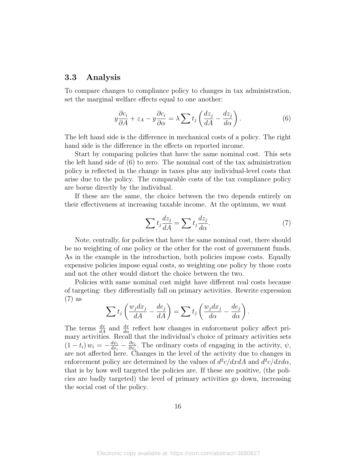#### 3.3 Analysis

To compare changes to compliance policy to changes in tax administration, set the marginal welfare effects equal to one another:

$$
y\frac{\partial c_i}{\partial A} + z_A - y\frac{\partial c_i}{\partial \alpha} = \lambda \sum t_j \left(\frac{dz_j}{dA} - \frac{dz_j}{d\alpha}\right). \tag{6}
$$

The left hand side is the difference in mechanical costs of a policy. The right hand side is the difference in the effects on reported income.

Start by comparing policies that have the same nominal cost. This sets the left hand side of (6) to zero. The nominal cost of the tax administration policy is reflected in the change in taxes plus any individual-level costs that arise due to the policy. The comparable costs of the tax compliance policy are borne directly by the individual.

If these are the same, the choice between the two depends entirely on their effectiveness at increasing taxable income. At the optimum, we want

$$
\sum t_j \frac{dz_j}{dA} = \sum t_j \frac{dz_j}{d\alpha}.
$$
\n(7)

Note, centrally, for policies that have the same nominal cost, there should be no weighting of one policy or the other for the cost of government funds. As in the example in the introduction, both policies impose costs. Equally expensive policies impose equal costs, so weighting one policy by those costs and not the other would distort the choice between the two.

Policies with same nominal cost might have different real costs because of targeting: they differentially fall on primary activities. Rewrite expression (7) as

$$
\sum t_j \left( \frac{w_j dx_j}{dA} - \frac{de_j}{dA} \right) = \sum t_j \left( \frac{w_j dx_j}{d\alpha} - \frac{de_j}{d\alpha} \right).
$$

The terms  $\frac{dx}{dA}$  and  $\frac{dx}{d\alpha}$  reflect how changes in enforcement policy affect primary activities. Recall that the individual's choice of primary activities sets  $(1-t_i) w_i = -\frac{d\psi_i}{dx_i}$  $\frac{d\psi_i}{dx_i} - \frac{\partial c_i}{\partial x_i}$  $\frac{\partial c_i}{\partial x_i}$ . The ordinary costs of engaging in the activity,  $\psi$ , are not affected here. Changes in the level of the activity due to changes in enforcement policy are determined by the values of  $d^2c/dxdA$  and  $d^2c/dxd\alpha$ , that is by how well targeted the policies are. If these are positive, (the policies are badly targeted) the level of primary activities go down, increasing the social cost of the policy.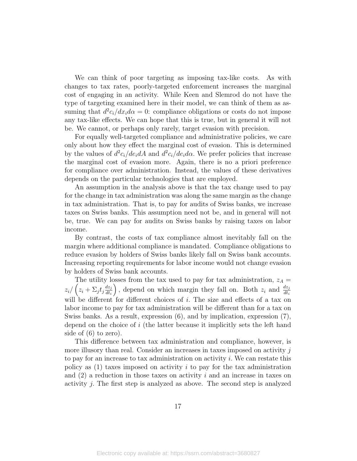We can think of poor targeting as imposing tax-like costs. As with changes to tax rates, poorly-targeted enforcement increases the marginal cost of engaging in an activity. While Keen and Slemrod do not have the type of targeting examined here in their model, we can think of them as assuming that  $d^2c_i/dx_i d\alpha = 0$ : compliance obligations or costs do not impose any tax-like effects. We can hope that this is true, but in general it will not be. We cannot, or perhaps only rarely, target evasion with precision.

For equally well-targeted compliance and administrative policies, we care only about how they effect the marginal cost of evasion. This is determined by the values of  $d^2c_i/de_idA$  and  $d^2c_i/de_id\alpha$ . We prefer policies that increase the marginal cost of evasion more. Again, there is no a priori preference for compliance over administration. Instead, the values of these derivatives depends on the particular technologies that are employed.

An assumption in the analysis above is that the tax change used to pay for the change in tax administration was along the same margin as the change in tax administration. That is, to pay for audits of Swiss banks, we increase taxes on Swiss banks. This assumption need not be, and in general will not be, true. We can pay for audits on Swiss banks by raising taxes on labor income.

By contrast, the costs of tax compliance almost inevitably fall on the margin where additional compliance is mandated. Compliance obligations to reduce evasion by holders of Swiss banks likely fall on Swiss bank accounts. Increasing reporting requirements for labor income would not change evasion by holders of Swiss bank accounts.

The utility losses from the tax used to pay for tax administration,  $z_A =$  $z_i / (z_i + \Sigma_j t_j \frac{dz_j}{dt_i})$  $dt_i$ ), depend on which margin they fall on. Both  $z_i$  and  $\frac{dz_j}{dt_i}$ will be different for different choices of  $i$ . The size and effects of a tax on labor income to pay for tax administration will be different than for a tax on Swiss banks. As a result, expression (6), and by implication, expression (7), depend on the choice of i (the latter because it implicitly sets the left hand side of (6) to zero).

This difference between tax administration and compliance, however, is more illusory than real. Consider an increases in taxes imposed on activity  $j$ to pay for an increase to tax administration on activity  $i$ . We can restate this policy as  $(1)$  taxes imposed on activity i to pay for the tax administration and  $(2)$  a reduction in those taxes on activity i and an increase in taxes on activity j. The first step is analyzed as above. The second step is analyzed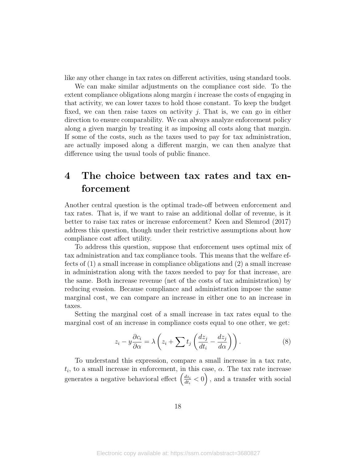like any other change in tax rates on different activities, using standard tools.

We can make similar adjustments on the compliance cost side. To the extent compliance obligations along margin  $i$  increase the costs of engaging in that activity, we can lower taxes to hold those constant. To keep the budget fixed, we can then raise taxes on activity  $j$ . That is, we can go in either direction to ensure comparability. We can always analyze enforcement policy along a given margin by treating it as imposing all costs along that margin. If some of the costs, such as the taxes used to pay for tax administration, are actually imposed along a different margin, we can then analyze that difference using the usual tools of public finance.

### 4 The choice between tax rates and tax enforcement

Another central question is the optimal trade-off between enforcement and tax rates. That is, if we want to raise an additional dollar of revenue, is it better to raise tax rates or increase enforcement? Keen and Slemrod (2017) address this question, though under their restrictive assumptions about how compliance cost affect utility.

To address this question, suppose that enforcement uses optimal mix of tax administration and tax compliance tools. This means that the welfare effects of (1) a small increase in compliance obligations and (2) a small increase in administration along with the taxes needed to pay for that increase, are the same. Both increase revenue (net of the costs of tax administration) by reducing evasion. Because compliance and administration impose the same marginal cost, we can compare an increase in either one to an increase in taxes.

Setting the marginal cost of a small increase in tax rates equal to the marginal cost of an increase in compliance costs equal to one other, we get:

$$
z_i - y \frac{\partial c_i}{\partial \alpha} = \lambda \left( z_i + \sum t_j \left( \frac{dz_j}{dt_i} - \frac{dz_j}{d\alpha} \right) \right). \tag{8}
$$

To understand this expression, compare a small increase in a tax rate,  $t_i$ , to a small increase in enforcement, in this case,  $\alpha$ . The tax rate increase generates a negative behavioral effect  $\left(\frac{dz_i}{dt}\right)$  $\frac{dz_i}{dt_i} < 0$ , and a transfer with social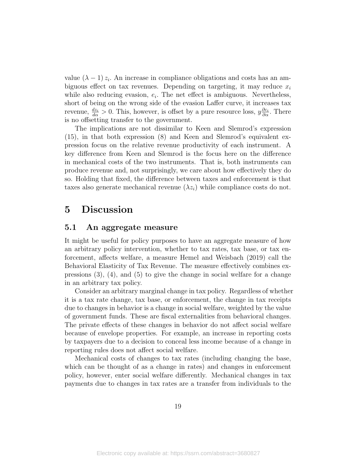value  $(\lambda - 1) z_i$ . An increase in compliance obligations and costs has an ambiguous effect on tax revenues. Depending on targeting, it may reduce  $x_i$ while also reducing evasion,  $e_i$ . The net effect is ambiguous. Nevertheless, short of being on the wrong side of the evasion Laffer curve, it increases tax revenue,  $\frac{dz_i}{d\alpha} > 0$ . This, however, is offset by a pure resource loss,  $y \frac{\partial c_i}{\partial \alpha}$ . There is no offsetting transfer to the government.

The implications are not dissimilar to Keen and Slemrod's expression (15), in that both expression (8) and Keen and Slemrod's equivalent expression focus on the relative revenue productivity of each instrument. A key difference from Keen and Slemrod is the focus here on the difference in mechanical costs of the two instruments. That is, both instruments can produce revenue and, not surprisingly, we care about how effectively they do so. Holding that fixed, the difference between taxes and enforcement is that taxes also generate mechanical revenue  $(\lambda z_i)$  while compliance costs do not.

### 5 Discussion

#### 5.1 An aggregate measure

It might be useful for policy purposes to have an aggregate measure of how an arbitrary policy intervention, whether to tax rates, tax base, or tax enforcement, affects welfare, a measure Hemel and Weisbach (2019) call the Behavioral Elasticity of Tax Revenue. The measure effectively combines expressions  $(3)$ ,  $(4)$ , and  $(5)$  to give the change in social welfare for a change in an arbitrary tax policy.

Consider an arbitrary marginal change in tax policy. Regardless of whether it is a tax rate change, tax base, or enforcement, the change in tax receipts due to changes in behavior is a change in social welfare, weighted by the value of government funds. These are fiscal externalities from behavioral changes. The private effects of these changes in behavior do not affect social welfare because of envelope properties. For example, an increase in reporting costs by taxpayers due to a decision to conceal less income because of a change in reporting rules does not affect social welfare.

Mechanical costs of changes to tax rates (including changing the base, which can be thought of as a change in rates) and changes in enforcement policy, however, enter social welfare differently. Mechanical changes in tax payments due to changes in tax rates are a transfer from individuals to the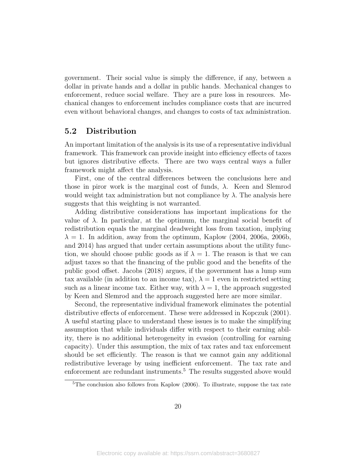government. Their social value is simply the difference, if any, between a dollar in private hands and a dollar in public hands. Mechanical changes to enforcement, reduce social welfare. They are a pure loss in resources. Mechanical changes to enforcement includes compliance costs that are incurred even without behavioral changes, and changes to costs of tax administration.

### 5.2 Distribution

An important limitation of the analysis is its use of a representative individual framework. This framework can provide insight into efficiency effects of taxes but ignores distributive effects. There are two ways central ways a fuller framework might affect the analysis.

First, one of the central differences between the conclusions here and those in piror work is the marginal cost of funds,  $\lambda$ . Keen and Slemrod would weight tax administration but not compliance by  $\lambda$ . The analysis here suggests that this weighting is not warranted.

Adding distributive considerations has important implications for the value of  $\lambda$ . In particular, at the optimum, the marginal social benefit of redistribution equals the marginal deadweight loss from taxation, implying  $\lambda = 1$ . In addition, away from the optimum, Kaplow (2004, 2006a, 2006b, and 2014) has argued that under certain assumptions about the utility function, we should choose public goods as if  $\lambda = 1$ . The reason is that we can adjust taxes so that the financing of the public good and the benefits of the public good offset. Jacobs (2018) argues, if the government has a lump sum tax available (in addition to an income tax),  $\lambda = 1$  even in restricted setting such as a linear income tax. Either way, with  $\lambda = 1$ , the approach suggested by Keen and Slemrod and the approach suggested here are more similar.

Second, the representative individual framework eliminates the potential distributive effects of enforcement. These were addressed in Kopczuk (2001). A useful starting place to understand these issues is to make the simplifying assumption that while individuals differ with respect to their earning ability, there is no additional heterogeneity in evasion (controlling for earning capacity). Under this assumption, the mix of tax rates and tax enforcement should be set efficiently. The reason is that we cannot gain any additional redistributive leverage by using inefficient enforcement. The tax rate and enforcement are redundant instruments.<sup>5</sup> The results suggested above would

<sup>5</sup>The conclusion also follows from Kaplow (2006). To illustrate, suppose the tax rate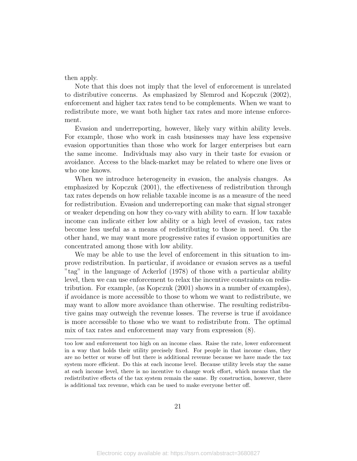then apply.

Note that this does not imply that the level of enforcement is unrelated to distributive concerns. As emphasized by Slemrod and Kopczuk (2002), enforcement and higher tax rates tend to be complements. When we want to redistribute more, we want both higher tax rates and more intense enforcement.

Evasion and underreporting, however, likely vary within ability levels. For example, those who work in cash businesses may have less expensive evasion opportunities than those who work for larger enterprises but earn the same income. Individuals may also vary in their taste for evasion or avoidance. Access to the black-market may be related to where one lives or who one knows.

When we introduce heterogeneity in evasion, the analysis changes. As emphasized by Kopczuk (2001), the effectiveness of redistribution through tax rates depends on how reliable taxable income is as a measure of the need for redistribution. Evasion and underreporting can make that signal stronger or weaker depending on how they co-vary with ability to earn. If low taxable income can indicate either low ability or a high level of evasion, tax rates become less useful as a means of redistributing to those in need. On the other hand, we may want more progressive rates if evasion opportunities are concentrated among those with low ability.

We may be able to use the level of enforcement in this situation to improve redistribution. In particular, if avoidance or evasion serves as a useful "tag" in the language of Ackerlof (1978) of those with a particular ability level, then we can use enforcement to relax the incentive constraints on redistribution. For example, (as Kopczuk (2001) shows in a number of examples), if avoidance is more accessible to those to whom we want to redistribute, we may want to allow more avoidance than otherwise. The resulting redistributive gains may outweigh the revenue losses. The reverse is true if avoidance is more accessible to those who we want to redistribute from. The optimal mix of tax rates and enforcement may vary from expression (8).

too low and enforcement too high on an income class. Raise the rate, lower enforcement in a way that holds their utility precisely fixed. For people in that income class, they are no better or worse off but there is additional revenue because we have made the tax system more efficient. Do this at each income level. Because utility levels stay the same at each income level, there is no incentive to change work effort, which means that the redistributive effects of the tax system remain the same. By construction, however, there is additional tax revenue, which can be used to make everyone better off.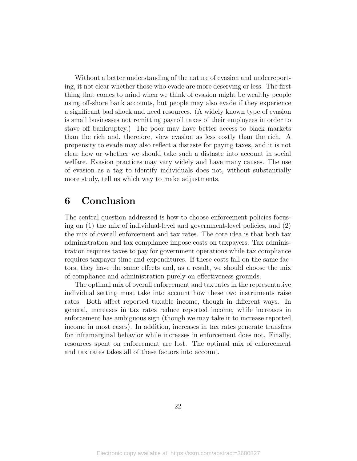Without a better understanding of the nature of evasion and underreporting, it not clear whether those who evade are more deserving or less. The first thing that comes to mind when we think of evasion might be wealthy people using off-shore bank accounts, but people may also evade if they experience a significant bad shock and need resources. (A widely known type of evasion is small businesses not remitting payroll taxes of their employees in order to stave off bankruptcy.) The poor may have better access to black markets than the rich and, therefore, view evasion as less costly than the rich. A propensity to evade may also reflect a distaste for paying taxes, and it is not clear how or whether we should take such a distaste into account in social welfare. Evasion practices may vary widely and have many causes. The use of evasion as a tag to identify individuals does not, without substantially more study, tell us which way to make adjustments.

### 6 Conclusion

The central question addressed is how to choose enforcement policies focusing on (1) the mix of individual-level and government-level policies, and (2) the mix of overall enforcement and tax rates. The core idea is that both tax administration and tax compliance impose costs on taxpayers. Tax administration requires taxes to pay for government operations while tax compliance requires taxpayer time and expenditures. If these costs fall on the same factors, they have the same effects and, as a result, we should choose the mix of compliance and administration purely on effectiveness grounds.

The optimal mix of overall enforcement and tax rates in the representative individual setting must take into account how these two instruments raise rates. Both affect reported taxable income, though in different ways. In general, increases in tax rates reduce reported income, while increases in enforcement has ambiguous sign (though we may take it to increase reported income in most cases). In addition, increases in tax rates generate transfers for inframarginal behavior while increases in enforcement does not. Finally, resources spent on enforcement are lost. The optimal mix of enforcement and tax rates takes all of these factors into account.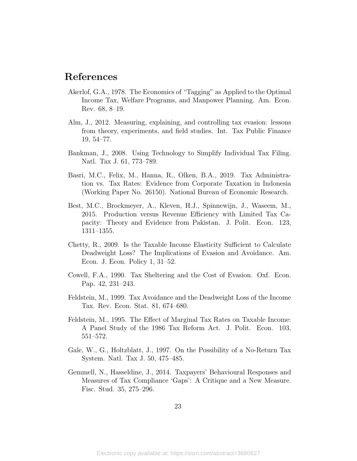### References

- Akerlof, G.A., 1978. The Economics of "Tagging" as Applied to the Optimal Income Tax, Welfare Programs, and Manpower Planning. Am. Econ. Rev. 68, 8–19.
- Alm, J., 2012. Measuring, explaining, and controlling tax evasion: lessons from theory, experiments, and field studies. Int. Tax Public Finance 19, 54–77.
- Bankman, J., 2008. Using Technology to Simplify Individual Tax Filing. Natl. Tax J. 61, 773–789.
- Basri, M.C., Felix, M., Hanna, R., Olken, B.A., 2019. Tax Administration vs. Tax Rates: Evidence from Corporate Taxation in Indonesia (Working Paper No. 26150). National Bureau of Economic Research.
- Best, M.C., Brockmeyer, A., Kleven, H.J., Spinnewijn, J., Waseem, M., 2015. Production versus Revenue Efficiency with Limited Tax Capacity: Theory and Evidence from Pakistan. J. Polit. Econ. 123, 1311–1355.
- Chetty, R., 2009. Is the Taxable Income Elasticity Sufficient to Calculate Deadweight Loss? The Implications of Evasion and Avoidance. Am. Econ. J. Econ. Policy 1, 31–52.
- Cowell, F.A., 1990. Tax Sheltering and the Cost of Evasion. Oxf. Econ. Pap. 42, 231–243.
- Feldstein, M., 1999. Tax Avoidance and the Deadweight Loss of the Income Tax. Rev. Econ. Stat. 81, 674–680.
- Feldstein, M., 1995. The Effect of Marginal Tax Rates on Taxable Income: A Panel Study of the 1986 Tax Reform Act. J. Polit. Econ. 103, 551–572.
- Gale, W., G., Holtzblatt, J., 1997. On the Possibility of a No-Return Tax System. Natl. Tax J. 50, 475–485.
- Gemmell, N., Hasseldine, J., 2014. Taxpayers' Behavioural Responses and Measures of Tax Compliance 'Gaps': A Critique and a New Measure. Fisc. Stud. 35, 275–296.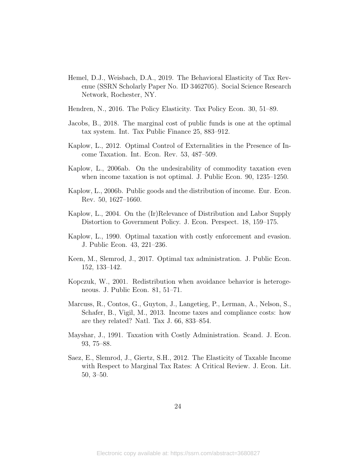- Hemel, D.J., Weisbach, D.A., 2019. The Behavioral Elasticity of Tax Revenue (SSRN Scholarly Paper No. ID 3462705). Social Science Research Network, Rochester, NY.
- Hendren, N., 2016. The Policy Elasticity. Tax Policy Econ. 30, 51–89.
- Jacobs, B., 2018. The marginal cost of public funds is one at the optimal tax system. Int. Tax Public Finance 25, 883–912.
- Kaplow, L., 2012. Optimal Control of Externalities in the Presence of Income Taxation. Int. Econ. Rev. 53, 487–509.
- Kaplow, L., 2006ab. On the undesirability of commodity taxation even when income taxation is not optimal. J. Public Econ. 90, 1235–1250.
- Kaplow, L., 2006b. Public goods and the distribution of income. Eur. Econ. Rev. 50, 1627–1660.
- Kaplow, L., 2004. On the (Ir)Relevance of Distribution and Labor Supply Distortion to Government Policy. J. Econ. Perspect. 18, 159–175.
- Kaplow, L., 1990. Optimal taxation with costly enforcement and evasion. J. Public Econ. 43, 221–236.
- Keen, M., Slemrod, J., 2017. Optimal tax administration. J. Public Econ. 152, 133–142.
- Kopczuk, W., 2001. Redistribution when avoidance behavior is heterogeneous. J. Public Econ. 81, 51–71.
- Marcuss, R., Contos, G., Guyton, J., Langetieg, P., Lerman, A., Nelson, S., Schafer, B., Vigil, M., 2013. Income taxes and compliance costs: how are they related? Natl. Tax J. 66, 833–854.
- Mayshar, J., 1991. Taxation with Costly Administration. Scand. J. Econ. 93, 75–88.
- Saez, E., Slemrod, J., Giertz, S.H., 2012. The Elasticity of Taxable Income with Respect to Marginal Tax Rates: A Critical Review. J. Econ. Lit. 50, 3–50.